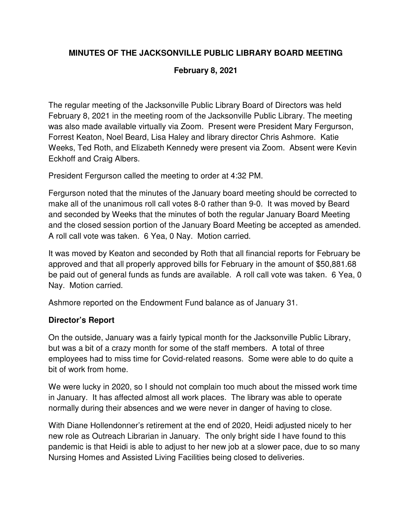# **MINUTES OF THE JACKSONVILLE PUBLIC LIBRARY BOARD MEETING**

### **February 8, 2021**

The regular meeting of the Jacksonville Public Library Board of Directors was held February 8, 2021 in the meeting room of the Jacksonville Public Library. The meeting was also made available virtually via Zoom. Present were President Mary Fergurson, Forrest Keaton, Noel Beard, Lisa Haley and library director Chris Ashmore. Katie Weeks, Ted Roth, and Elizabeth Kennedy were present via Zoom. Absent were Kevin Eckhoff and Craig Albers.

President Fergurson called the meeting to order at 4:32 PM.

Fergurson noted that the minutes of the January board meeting should be corrected to make all of the unanimous roll call votes 8-0 rather than 9-0. It was moved by Beard and seconded by Weeks that the minutes of both the regular January Board Meeting and the closed session portion of the January Board Meeting be accepted as amended. A roll call vote was taken. 6 Yea, 0 Nay. Motion carried.

It was moved by Keaton and seconded by Roth that all financial reports for February be approved and that all properly approved bills for February in the amount of \$50,881.68 be paid out of general funds as funds are available. A roll call vote was taken. 6 Yea, 0 Nay. Motion carried.

Ashmore reported on the Endowment Fund balance as of January 31.

#### **Director's Report**

On the outside, January was a fairly typical month for the Jacksonville Public Library, but was a bit of a crazy month for some of the staff members. A total of three employees had to miss time for Covid-related reasons. Some were able to do quite a bit of work from home.

We were lucky in 2020, so I should not complain too much about the missed work time in January. It has affected almost all work places. The library was able to operate normally during their absences and we were never in danger of having to close.

With Diane Hollendonner's retirement at the end of 2020, Heidi adjusted nicely to her new role as Outreach Librarian in January. The only bright side I have found to this pandemic is that Heidi is able to adjust to her new job at a slower pace, due to so many Nursing Homes and Assisted Living Facilities being closed to deliveries.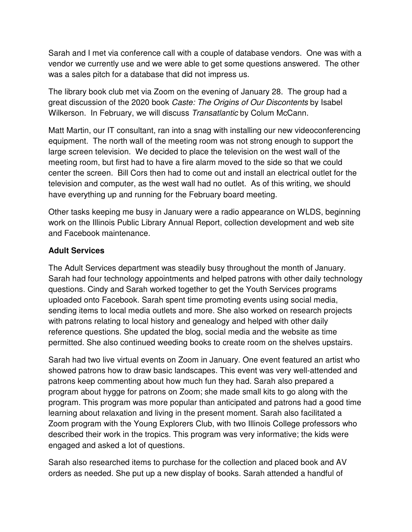Sarah and I met via conference call with a couple of database vendors. One was with a vendor we currently use and we were able to get some questions answered. The other was a sales pitch for a database that did not impress us.

The library book club met via Zoom on the evening of January 28. The group had a great discussion of the 2020 book Caste: The Origins of Our Discontents by Isabel Wilkerson. In February, we will discuss Transatlantic by Colum McCann.

Matt Martin, our IT consultant, ran into a snag with installing our new videoconferencing equipment. The north wall of the meeting room was not strong enough to support the large screen television. We decided to place the television on the west wall of the meeting room, but first had to have a fire alarm moved to the side so that we could center the screen. Bill Cors then had to come out and install an electrical outlet for the television and computer, as the west wall had no outlet. As of this writing, we should have everything up and running for the February board meeting.

Other tasks keeping me busy in January were a radio appearance on WLDS, beginning work on the Illinois Public Library Annual Report, collection development and web site and Facebook maintenance.

#### **Adult Services**

The Adult Services department was steadily busy throughout the month of January. Sarah had four technology appointments and helped patrons with other daily technology questions. Cindy and Sarah worked together to get the Youth Services programs uploaded onto Facebook. Sarah spent time promoting events using social media, sending items to local media outlets and more. She also worked on research projects with patrons relating to local history and genealogy and helped with other daily reference questions. She updated the blog, social media and the website as time permitted. She also continued weeding books to create room on the shelves upstairs.

Sarah had two live virtual events on Zoom in January. One event featured an artist who showed patrons how to draw basic landscapes. This event was very well-attended and patrons keep commenting about how much fun they had. Sarah also prepared a program about hygge for patrons on Zoom; she made small kits to go along with the program. This program was more popular than anticipated and patrons had a good time learning about relaxation and living in the present moment. Sarah also facilitated a Zoom program with the Young Explorers Club, with two Illinois College professors who described their work in the tropics. This program was very informative; the kids were engaged and asked a lot of questions.

Sarah also researched items to purchase for the collection and placed book and AV orders as needed. She put up a new display of books. Sarah attended a handful of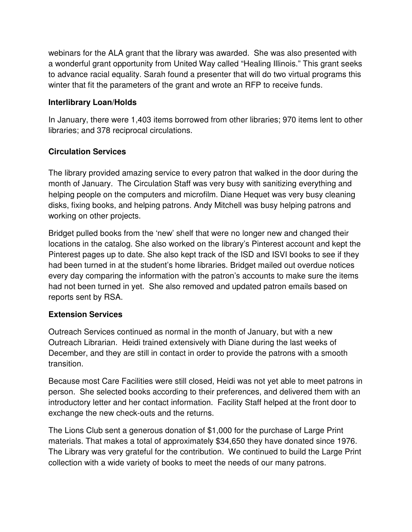webinars for the ALA grant that the library was awarded. She was also presented with a wonderful grant opportunity from United Way called "Healing Illinois." This grant seeks to advance racial equality. Sarah found a presenter that will do two virtual programs this winter that fit the parameters of the grant and wrote an RFP to receive funds.

## **Interlibrary Loan/Holds**

In January, there were 1,403 items borrowed from other libraries; 970 items lent to other libraries; and 378 reciprocal circulations.

## **Circulation Services**

The library provided amazing service to every patron that walked in the door during the month of January. The Circulation Staff was very busy with sanitizing everything and helping people on the computers and microfilm. Diane Hequet was very busy cleaning disks, fixing books, and helping patrons. Andy Mitchell was busy helping patrons and working on other projects.

Bridget pulled books from the 'new' shelf that were no longer new and changed their locations in the catalog. She also worked on the library's Pinterest account and kept the Pinterest pages up to date. She also kept track of the ISD and ISVI books to see if they had been turned in at the student's home libraries. Bridget mailed out overdue notices every day comparing the information with the patron's accounts to make sure the items had not been turned in yet. She also removed and updated patron emails based on reports sent by RSA.

## **Extension Services**

Outreach Services continued as normal in the month of January, but with a new Outreach Librarian. Heidi trained extensively with Diane during the last weeks of December, and they are still in contact in order to provide the patrons with a smooth transition.

Because most Care Facilities were still closed, Heidi was not yet able to meet patrons in person. She selected books according to their preferences, and delivered them with an introductory letter and her contact information. Facility Staff helped at the front door to exchange the new check-outs and the returns.

The Lions Club sent a generous donation of \$1,000 for the purchase of Large Print materials. That makes a total of approximately \$34,650 they have donated since 1976. The Library was very grateful for the contribution. We continued to build the Large Print collection with a wide variety of books to meet the needs of our many patrons.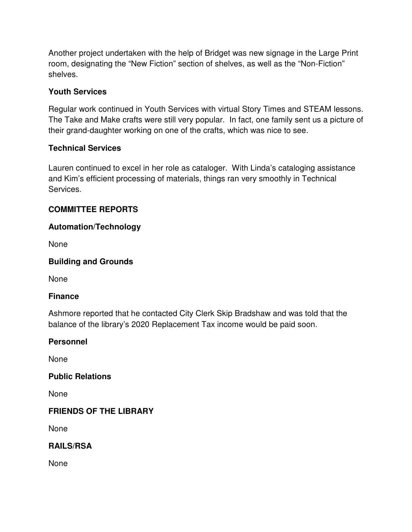Another project undertaken with the help of Bridget was new signage in the Large Print room, designating the "New Fiction" section of shelves, as well as the "Non-Fiction" shelves.

### **Youth Services**

Regular work continued in Youth Services with virtual Story Times and STEAM lessons. The Take and Make crafts were still very popular. In fact, one family sent us a picture of their grand-daughter working on one of the crafts, which was nice to see.

#### **Technical Services**

Lauren continued to excel in her role as cataloger. With Linda's cataloging assistance and Kim's efficient processing of materials, things ran very smoothly in Technical Services.

### **COMMITTEE REPORTS**

#### **Automation/Technology**

None

#### **Building and Grounds**

None

#### **Finance**

Ashmore reported that he contacted City Clerk Skip Bradshaw and was told that the balance of the library's 2020 Replacement Tax income would be paid soon.

#### **Personnel**

None

#### **Public Relations**

None

#### **FRIENDS OF THE LIBRARY**

None

## **RAILS/RSA**

None